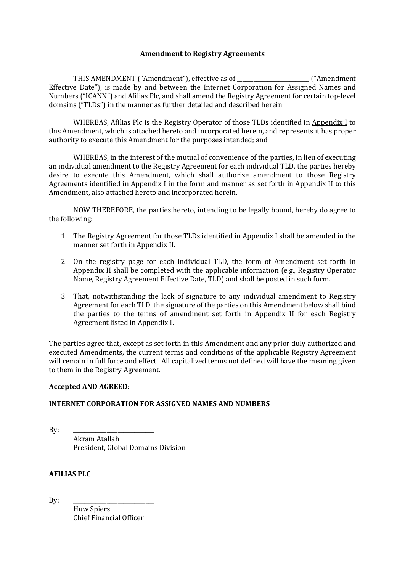### **Amendment to Registry Agreements**

THIS AMENDMENT ("Amendment"), effective as of \_\_\_\_\_\_\_\_\_\_\_\_\_\_\_\_\_\_\_\_\_\_\_\_\_\_ ("Amendment Effective Date"), is made by and between the Internet Corporation for Assigned Names and Numbers ("ICANN") and Afilias Plc, and shall amend the Registry Agreement for certain top-level domains ("TLDs") in the manner as further detailed and described herein.

WHEREAS, Afilias Plc is the Registry Operator of those TLDs identified in Appendix I to this Amendment, which is attached hereto and incorporated herein, and represents it has proper authority to execute this Amendment for the purposes intended; and

WHEREAS, in the interest of the mutual of convenience of the parties, in lieu of executing an individual amendment to the Registry Agreement for each individual TLD, the parties hereby desire to execute this Amendment, which shall authorize amendment to those Registry Agreements identified in Appendix I in the form and manner as set forth in Appendix II to this Amendment, also attached hereto and incorporated herein.

NOW THEREFORE, the parties hereto, intending to be legally bound, hereby do agree to the following:

- 1. The Registry Agreement for those TLDs identified in Appendix I shall be amended in the manner set forth in Appendix II.
- 2. On the registry page for each individual TLD, the form of Amendment set forth in Appendix II shall be completed with the applicable information (e.g., Registry Operator Name, Registry Agreement Effective Date, TLD) and shall be posted in such form.
- 3. That, notwithstanding the lack of signature to any individual amendment to Registry Agreement for each TLD, the signature of the parties on this Amendment below shall bind the parties to the terms of amendment set forth in Appendix II for each Registry Agreement listed in Appendix I.

The parties agree that, except as set forth in this Amendment and any prior duly authorized and executed Amendments, the current terms and conditions of the applicable Registry Agreement will remain in full force and effect. All capitalized terms not defined will have the meaning given to them in the Registry Agreement.

#### **Accepted AND AGREED**:

## **INTERNET CORPORATION FOR ASSIGNED NAMES AND NUMBERS**

By: \_\_\_\_\_\_\_\_\_\_\_\_\_\_\_\_\_\_\_\_\_\_\_\_\_\_\_\_\_ Akram Atallah President, Global Domains Division

## **AFILIAS PLC**

By: \_\_\_\_\_\_\_\_\_\_\_\_\_\_\_\_\_\_\_\_\_\_\_\_\_\_\_\_\_ Huw Spiers Chief Financial Officer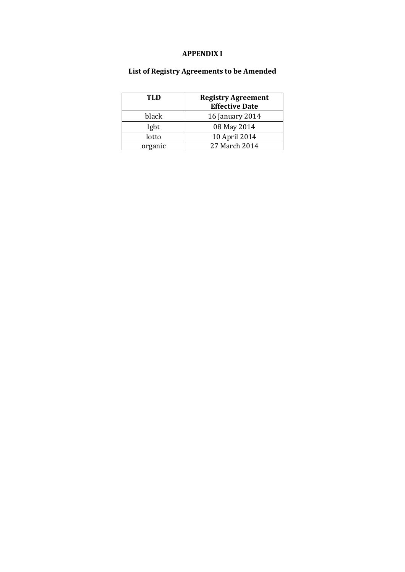## **APPENDIX I**

# **List of Registry Agreements to be Amended**

| TI.D    | <b>Registry Agreement</b><br><b>Effective Date</b> |
|---------|----------------------------------------------------|
| black   | 16 January 2014                                    |
|         |                                                    |
| lgbt    | 08 May 2014                                        |
| lotto   | 10 April 2014                                      |
| organic | 27 March 2014                                      |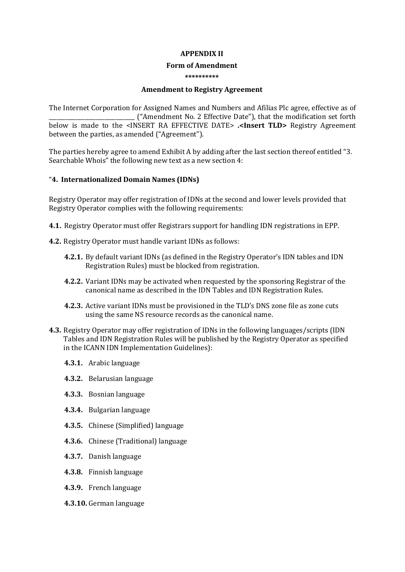#### **APPENDIX II**

#### **Form of Amendment**

#### **\*\*\*\*\*\*\*\*\*\***

### **Amendment to Registry Agreement**

The Internet Corporation for Assigned Names and Numbers and Afilias Plc agree, effective as of \_\_\_\_\_\_\_\_\_\_\_\_\_\_\_\_\_\_\_\_\_\_\_\_\_\_\_\_\_\_\_ ("Amendment No. 2 Effective Date"), that the modification set forth below is made to the <INSERT RA EFFECTIVE DATE> **.<Insert TLD>** Registry Agreement between the parties, as amended ("Agreement").

The parties hereby agree to amend Exhibit A by adding after the last section thereof entitled "3. Searchable Whois" the following new text as a new section 4:

### "**4. Internationalized Domain Names (IDNs)**

Registry Operator may offer registration of IDNs at the second and lower levels provided that Registry Operator complies with the following requirements:

- **4.1.** Registry Operator must offer Registrars support for handling IDN registrations in EPP.
- **4.2.** Registry Operator must handle variant IDNs as follows:
	- **4.2.1.** By default variant IDNs (as defined in the Registry Operator's IDN tables and IDN Registration Rules) must be blocked from registration.
	- **4.2.2.** Variant IDNs may be activated when requested by the sponsoring Registrar of the canonical name as described in the IDN Tables and IDN Registration Rules.
	- **4.2.3.** Active variant IDNs must be provisioned in the TLD's DNS zone file as zone cuts using the same NS resource records as the canonical name.
- **4.3.** Registry Operator may offer registration of IDNs in the following languages/scripts (IDN Tables and IDN Registration Rules will be published by the Registry Operator as specified in the ICANN IDN Implementation Guidelines):
	- **4.3.1.** Arabic language
	- **4.3.2.** Belarusian language
	- **4.3.3.** Bosnian language
	- **4.3.4.** Bulgarian language
	- **4.3.5.** Chinese (Simplified) language
	- **4.3.6.** Chinese (Traditional) language
	- **4.3.7.** Danish language
	- **4.3.8.** Finnish language
	- **4.3.9.** French language
	- **4.3.10.** German language